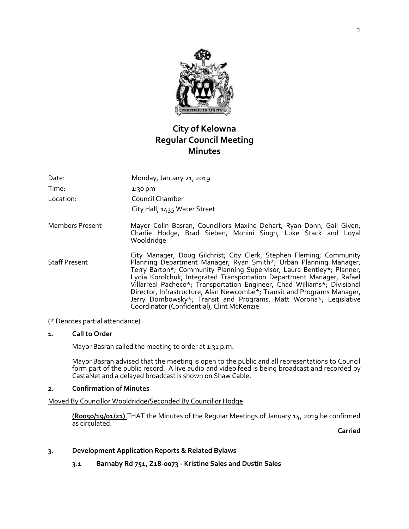

# **City of Kelowna Regular Council Meeting Minutes**

| Date:                  | Monday, January 21, 2019                                                                                                                                                                                                                                                                                                                                                                                                                                                                                                                                               |
|------------------------|------------------------------------------------------------------------------------------------------------------------------------------------------------------------------------------------------------------------------------------------------------------------------------------------------------------------------------------------------------------------------------------------------------------------------------------------------------------------------------------------------------------------------------------------------------------------|
| Time:                  | 1:30 pm                                                                                                                                                                                                                                                                                                                                                                                                                                                                                                                                                                |
| Location:              | Council Chamber                                                                                                                                                                                                                                                                                                                                                                                                                                                                                                                                                        |
|                        | City Hall, 1435 Water Street                                                                                                                                                                                                                                                                                                                                                                                                                                                                                                                                           |
| <b>Members Present</b> | Mayor Colin Basran, Councillors Maxine Dehart, Ryan Donn, Gail Given,<br>Charlie Hodge, Brad Sieben, Mohini Singh, Luke Stack and Loyal<br>Wooldridge                                                                                                                                                                                                                                                                                                                                                                                                                  |
| <b>Staff Present</b>   | City Manager, Doug Gilchrist; City Clerk, Stephen Fleming; Community<br>Planning Department Manager, Ryan Smith*; Urban Planning Manager,<br>Terry Barton*; Community Planning Supervisor, Laura Bentley*; Planner,<br>Lydia Korolchuk; Integrated Transportation Department Manager, Rafael<br>Villarreal Pacheco*; Transportation Engineer, Chad Williams*; Divisional<br>Director, Infrastructure, Alan Newcombe*; Transit and Programs Manager,<br>Jerry Dombowsky*; Transit and Programs, Matt Worona*; Legislative<br>Coordinator (Confidential), Clint McKenzie |

(\* Denotes partial attendance)

# **1. Call to Order**

Mayor Basran called the meeting to order at 1:31 p.m.

Mayor Basran advised that the meeting is open to the public and all representations to Council form part of the public record. A live audio and video feed is being broadcast and recorded by CastaNet and a delayed broadcast is shown on Shaw Cable.

#### **2. Confirmation of Minutes**

Moved By Councillor Wooldridge/Seconded By Councillor Hodge

**(R0050/19/01/21)** THAT the Minutes of the Regular Meetings of January 14, 2019 be confirmed as circulated.

**Carried**

# **3. Development Application Reports & Related Bylaws**

**3.1 Barnaby Rd 751, Z18-0073 - Kristine Sales and Dustin Sales**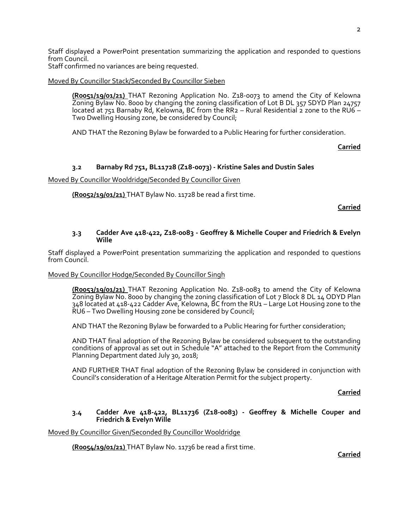Staff displayed a PowerPoint presentation summarizing the application and responded to questions from Council.

Staff confirmed no variances are being requested.

### Moved By Councillor Stack/Seconded By Councillor Sieben

**(R0051/19/01/21)** THAT Rezoning Application No. Z18-0073 to amend the City of Kelowna Zoning Bylaw No. 8000 by changing the zoning classification of Lot B DL 357 SDYD Plan 24757 located at 751 Barnaby Rd, Kelowna, BC from the RR2 – Rural Residential 2 zone to the RU6 – Two Dwelling Housing zone, be considered by Council;

AND THAT the Rezoning Bylaw be forwarded to a Public Hearing for further consideration.

**Carried**

# **3.2 Barnaby Rd 751, BL11728 (Z18-0073) - Kristine Sales and Dustin Sales**

Moved By Councillor Wooldridge/Seconded By Councillor Given

**(R0052/19/01/21)** THAT Bylaw No. 11728 be read a first time.

**Carried**

#### **3.3 Cadder Ave 418-422, Z18-0083 - Geoffrey & Michelle Couper and Friedrich & Evelyn Wille**

Staff displayed a PowerPoint presentation summarizing the application and responded to questions from Council.

#### Moved By Councillor Hodge/Seconded By Councillor Singh

**(R0053/19/01/21)** THAT Rezoning Application No. Z18-0083 to amend the City of Kelowna Zoning Bylaw No. 8000 by changing the zoning classification of Lot 7 Block 8 DL 14 ODYD Plan 348 located at 418-422 Cadder Ave, Kelowna, BC from the RU1 – Large Lot Housing zone to the RU6 – Two Dwelling Housing zone be considered by Council;

AND THAT the Rezoning Bylaw be forwarded to a Public Hearing for further consideration;

AND THAT final adoption of the Rezoning Bylaw be considered subsequent to the outstanding conditions of approval as set out in Schedule "A" attached to the Report from the Community Planning Department dated July 30, 2018;

AND FURTHER THAT final adoption of the Rezoning Bylaw be considered in conjunction with Council's consideration of a Heritage Alteration Permit for the subject property.

**Carried**

#### **3.4 Cadder Ave 418-422, BL11736 (Z18-0083) - Geoffrey & Michelle Couper and Friedrich & Evelyn Wille**

Moved By Councillor Given/Seconded By Councillor Wooldridge

**(R0054/19/01/21)** THAT Bylaw No. 11736 be read a first time.

**Carried**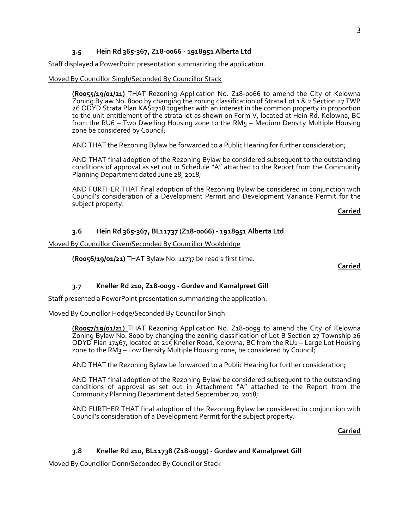# **3.5 Hein Rd 365-367, Z18-0066 - 1918951 Alberta Ltd**

Staff displayed a PowerPoint presentation summarizing the application.

Moved By Councillor Singh/Seconded By Councillor Stack

**(R0055/19/01/21)** THAT Rezoning Application No. Z18-0066 to amend the City of Kelowna Zoning Bylaw No. 8000 by changing the zoning classification of Strata Lot 1 & 2 Section 27 TWP 26 ODYD Strata Plan KAS2718 together with an interest in the common property in proportion to the unit entitlement of the strata lot as shown on Form V, located at Hein Rd, Kelowna, BC from the RU6 – Two Dwelling Housing zone to the RM5 – Medium Density Multiple Housing zone be considered by Council;

AND THAT the Rezoning Bylaw be forwarded to a Public Hearing for further consideration;

AND THAT final adoption of the Rezoning Bylaw be considered subsequent to the outstanding conditions of approval as set out in Schedule "A" attached to the Report from the Community Planning Department dated June 28, 2018;

AND FURTHER THAT final adoption of the Rezoning Bylaw be considered in conjunction with Council's consideration of a Development Permit and Development Variance Permit for the subject property.

**Carried**

### **3.6 Hein Rd 365-367, BL11737 (Z18-0066) - 1918951 Alberta Ltd**

Moved By Councillor Given/Seconded By Councillor Wooldridge

**(R0056/19/01/21)** THAT Bylaw No. 11737 be read a first time.

**Carried**

### **3.7 Kneller Rd 210, Z18-0099 - Gurdev and Kamalpreet Gill**

Staff presented a PowerPoint presentation summarizing the application.

#### Moved By Councillor Hodge/Seconded By Councillor Singh

**(R0057/19/01/21)** THAT Rezoning Application No. Z18-0099 to amend the City of Kelowna Zoning Bylaw No. 8000 by changing the zoning classification of Lot B Section 27 Township 26 ODYD Plan 17467, located at 215 Kneller Road, Kelowna, BC from the RU1 – Large Lot Housing zone to the RM3 – Low Density Multiple Housing zone, be considered by Council;

AND THAT the Rezoning Bylaw be forwarded to a Public Hearing for further consideration;

AND THAT final adoption of the Rezoning Bylaw be considered subsequent to the outstanding conditions of approval as set out in Attachment "A" attached to the Report from the Community Planning Department dated September 20, 2018;

AND FURTHER THAT final adoption of the Rezoning Bylaw be considered in conjunction with Council's consideration of a Development Permit for the subject property.

**Carried**

#### **3.8 Kneller Rd 210, BL11738 (Z18-0099) - Gurdev and Kamalpreet Gill**

Moved By Councillor Donn/Seconded By Councillor Stack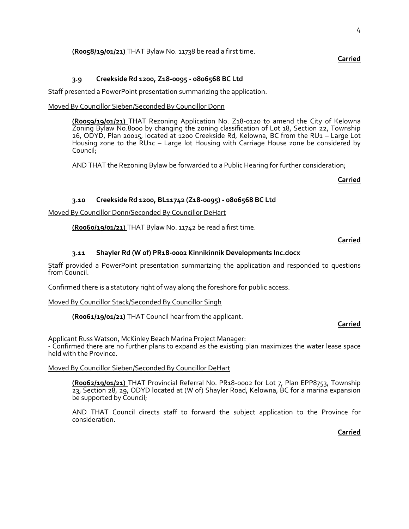**Carried**

# **(R0058/19/01/21)** THAT Bylaw No. 11738 be read a first time.

### **3.9 Creekside Rd 1200, Z18-0095 - 0806568 BC Ltd**

Staff presented a PowerPoint presentation summarizing the application.

# Moved By Councillor Sieben/Seconded By Councillor Donn

**(R0059/19/01/21)** THAT Rezoning Application No. Z18-0120 to amend the City of Kelowna Zoning Bylaw No.8000 by changing the zoning classification of Lot 18, Section 22, Township 26, ODYD, Plan 20015, located at 1200 Creekside Rd, Kelowna, BC from the RU1 – Large Lot Housing zone to the RU1c – Large lot Housing with Carriage House zone be considered by Council;

AND THAT the Rezoning Bylaw be forwarded to a Public Hearing for further consideration;

**Carried**

#### **3.10 Creekside Rd 1200, BL11742 (Z18-0095) - 0806568 BC Ltd**

Moved By Councillor Donn/Seconded By Councillor DeHart

**(R0060/19/01/21)** THAT Bylaw No. 11742 be read a first time.

#### **Carried**

### **3.11 Shayler Rd (W of) PR18-0002 Kinnikinnik Developments Inc.docx**

Staff provided a PowerPoint presentation summarizing the application and responded to questions from Council.

Confirmed there is a statutory right of way along the foreshore for public access.

Moved By Councillor Stack/Seconded By Councillor Singh

**(R0061/19/01/21)** THAT Council hear from the applicant.

#### **Carried**

Applicant Russ Watson, McKinley Beach Marina Project Manager:

- Confirmed there are no further plans to expand as the existing plan maximizes the water lease space held with the Province.

#### Moved By Councillor Sieben/Seconded By Councillor DeHart

**(R0062/19/01/21)** THAT Provincial Referral No. PR18-0002 for Lot 7, Plan EPP8753, Township 23, Section 28, 29, ODYD located at (W of) Shayler Road, Kelowna, BC for a marina expansion be supported by Council;

AND THAT Council directs staff to forward the subject application to the Province for consideration.

**Carried**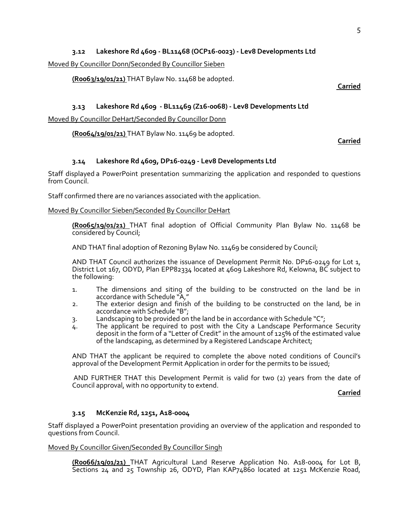# **3.12 Lakeshore Rd 4609 - BL11468 (OCP16-0023) - Lev8 Developments Ltd**

Moved By Councillor Donn/Seconded By Councillor Sieben

**(R0063/19/01/21)** THAT Bylaw No. 11468 be adopted.

**Carried**

# **3.13 Lakeshore Rd 4609 - BL11469 (Z16-0068) - Lev8 Developments Ltd**

Moved By Councillor DeHart/Seconded By Councillor Donn

**(R0064/19/01/21)** THAT Bylaw No. 11469 be adopted.

**Carried**

# **3.14 Lakeshore Rd 4609, DP16-0249 - Lev8 Developments Ltd**

Staff displayed a PowerPoint presentation summarizing the application and responded to questions from Council.

Staff confirmed there are no variances associated with the application.

### Moved By Councillor Sieben/Seconded By Councillor DeHart

**(R0065/19/01/21)** THAT final adoption of Official Community Plan Bylaw No. 11468 be considered by Council;

AND THAT final adoption of Rezoning Bylaw No. 11469 be considered by Council;

AND THAT Council authorizes the issuance of Development Permit No. DP16-0249 for Lot 1, District Lot 167, ODYD, Plan EPP82334 located at 4609 Lakeshore Rd, Kelowna, BC subject to the following:

- 1. The dimensions and siting of the building to be constructed on the land be in accordance with Schedule "A,"
- 2. The exterior design and finish of the building to be constructed on the land, be in accordance with Schedule "B";
- 3. Landscaping to be provided on the land be in accordance with Schedule "C";
- 4. The applicant be required to post with the City a Landscape Performance Security deposit in the form of a "Letter of Credit" in the amount of 125% of the estimated value of the landscaping, as determined by a Registered Landscape Architect;

AND THAT the applicant be required to complete the above noted conditions of Council's approval of the Development Permit Application in order for the permits to be issued;

AND FURTHER THAT this Development Permit is valid for two (2) years from the date of Council approval, with no opportunity to extend.

**Carried**

# **3.15 McKenzie Rd, 1251, A18-0004**

Staff displayed a PowerPoint presentation providing an overview of the application and responded to questions from Council.

#### Moved By Councillor Given/Seconded By Councillor Singh

**(R0066/19/01/21)** THAT Agricultural Land Reserve Application No. A18-0004 for Lot B, Sections 24 and 25 Township 26, ODYD, Plan KAP74860 located at 1251 McKenzie Road,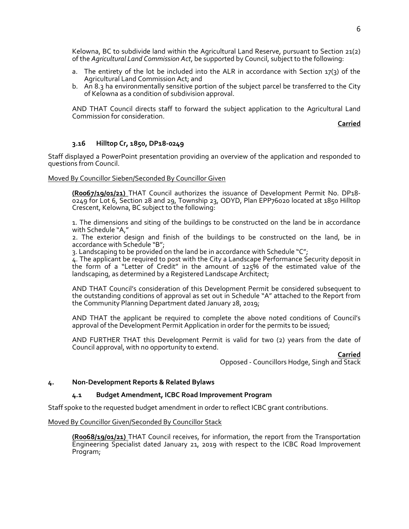Kelowna, BC to subdivide land within the Agricultural Land Reserve, pursuant to Section 21(2) of the *Agricultural Land Commission Act*, be supported by Council, subject to the following:

- a. The entirety of the lot be included into the ALR in accordance with Section 17(3) of the Agricultural Land Commission Act; and
- b. An 8.3 ha environmentally sensitive portion of the subject parcel be transferred to the City of Kelowna as a condition of subdivision approval.

AND THAT Council directs staff to forward the subject application to the Agricultural Land Commission for consideration.

**Carried**

# **3.16 Hilltop Cr, 1850, DP18-0249**

Staff displayed a PowerPoint presentation providing an overview of the application and responded to questions from Council.

Moved By Councillor Sieben/Seconded By Councillor Given

**(R0067/19/01/21)** THAT Council authorizes the issuance of Development Permit No. DP18- 0249 for Lot 6, Section 28 and 29, Township 23, ODYD, Plan EPP76020 located at 1850 Hilltop Crescent, Kelowna, BC subject to the following:

1. The dimensions and siting of the buildings to be constructed on the land be in accordance with Schedule "A,"

2. The exterior design and finish of the buildings to be constructed on the land, be in accordance with Schedule "B";

3. Landscaping to be provided on the land be in accordance with Schedule "C";

4. The applicant be required to post with the City a Landscape Performance Security deposit in the form of a "Letter of Credit" in the amount of 125% of the estimated value of the landscaping, as determined by a Registered Landscape Architect;

AND THAT Council's consideration of this Development Permit be considered subsequent to the outstanding conditions of approval as set out in Schedule "A" attached to the Report from the Community Planning Department dated January 28, 2019;

AND THAT the applicant be required to complete the above noted conditions of Council's approval of the Development Permit Application in order for the permits to be issued;

AND FURTHER THAT this Development Permit is valid for two (2) years from the date of Council approval, with no opportunity to extend.

**Carried**

Opposed - Councillors Hodge, Singh and Stack

# **4. Non-Development Reports & Related Bylaws**

# **4.1 Budget Amendment, ICBC Road Improvement Program**

Staff spoke to the requested budget amendment in order to reflect ICBC grant contributions.

Moved By Councillor Given/Seconded By Councillor Stack

**(R0068/19/01/21)** THAT Council receives, for information, the report from the Transportation Engineering Specialist dated January 21, 2019 with respect to the ICBC Road Improvement Program;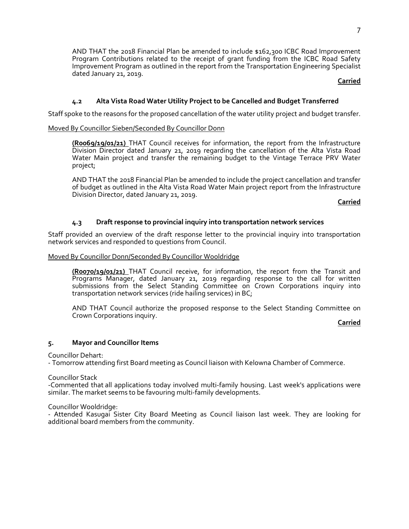AND THAT the 2018 Financial Plan be amended to include \$162,300 ICBC Road Improvement Program Contributions related to the receipt of grant funding from the ICBC Road Safety Improvement Program as outlined in the report from the Transportation Engineering Specialist dated January 21, 2019.

# **Carried**

# **4.2 Alta Vista Road Water Utility Project to be Cancelled and Budget Transferred**

Staff spoke to the reasons for the proposed cancellation of the water utility project and budget transfer.

# Moved By Councillor Sieben/Seconded By Councillor Donn

**(R0069/19/01/21)** THAT Council receives for information, the report from the Infrastructure Division Director dated January 21, 2019 regarding the cancellation of the Alta Vista Road Water Main project and transfer the remaining budget to the Vintage Terrace PRV Water project;

AND THAT the 2018 Financial Plan be amended to include the project cancellation and transfer of budget as outlined in the Alta Vista Road Water Main project report from the Infrastructure Division Director, dated January 21, 2019.

**Carried**

# **4.3 Draft response to provincial inquiry into transportation network services**

Staff provided an overview of the draft response letter to the provincial inquiry into transportation network services and responded to questions from Council.

#### Moved By Councillor Donn/Seconded By Councillor Wooldridge

**(R0070/19/01/21)** THAT Council receive, for information, the report from the Transit and Programs Manager, dated January 21, 2019 regarding response to the call for written submissions from the Select Standing Committee on Crown Corporations inquiry into transportation network services (ride hailing services) in BC;

AND THAT Council authorize the proposed response to the Select Standing Committee on Crown Corporations inquiry.

**Carried**

#### **5. Mayor and Councillor Items**

Councillor Dehart:

- Tomorrow attending first Board meeting as Council liaison with Kelowna Chamber of Commerce.

Councillor Stack

-Commented that all applications today involved multi-family housing. Last week's applications were similar. The market seems to be favouring multi-family developments.

Councillor Wooldridge:

- Attended Kasugai Sister City Board Meeting as Council liaison last week. They are looking for additional board members from the community.